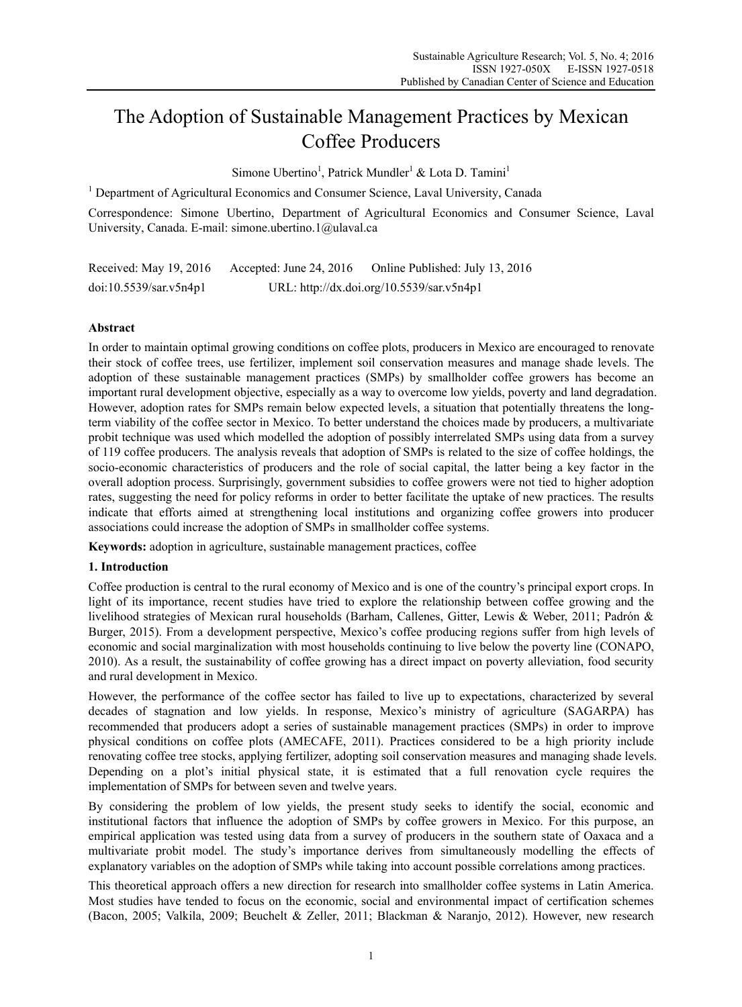# The Adoption of Sustainable Management Practices by Mexican Coffee Producers

Simone Ubertino<sup>1</sup>, Patrick Mundler<sup>1</sup> & Lota D. Tamini<sup>1</sup>

<sup>1</sup> Department of Agricultural Economics and Consumer Science, Laval University, Canada

Correspondence: Simone Ubertino, Department of Agricultural Economics and Consumer Science, Laval University, Canada. E-mail: simone.ubertino.1@ulaval.ca

Received: May 19, 2016 Accepted: June 24, 2016 Online Published: July 13, 2016 doi:10.5539/sar.v5n4p1 URL: http://dx.doi.org/10.5539/sar.v5n4p1

# **Abstract**

In order to maintain optimal growing conditions on coffee plots, producers in Mexico are encouraged to renovate their stock of coffee trees, use fertilizer, implement soil conservation measures and manage shade levels. The adoption of these sustainable management practices (SMPs) by smallholder coffee growers has become an important rural development objective, especially as a way to overcome low yields, poverty and land degradation. However, adoption rates for SMPs remain below expected levels, a situation that potentially threatens the longterm viability of the coffee sector in Mexico. To better understand the choices made by producers, a multivariate probit technique was used which modelled the adoption of possibly interrelated SMPs using data from a survey of 119 coffee producers. The analysis reveals that adoption of SMPs is related to the size of coffee holdings, the socio-economic characteristics of producers and the role of social capital, the latter being a key factor in the overall adoption process. Surprisingly, government subsidies to coffee growers were not tied to higher adoption rates, suggesting the need for policy reforms in order to better facilitate the uptake of new practices. The results indicate that efforts aimed at strengthening local institutions and organizing coffee growers into producer associations could increase the adoption of SMPs in smallholder coffee systems.

**Keywords:** adoption in agriculture, sustainable management practices, coffee

# **1. Introduction**

Coffee production is central to the rural economy of Mexico and is one of the country's principal export crops. In light of its importance, recent studies have tried to explore the relationship between coffee growing and the livelihood strategies of Mexican rural households (Barham, Callenes, Gitter, Lewis & Weber, 2011; Padrón & Burger, 2015). From a development perspective, Mexico's coffee producing regions suffer from high levels of economic and social marginalization with most households continuing to live below the poverty line (CONAPO, 2010). As a result, the sustainability of coffee growing has a direct impact on poverty alleviation, food security and rural development in Mexico.

However, the performance of the coffee sector has failed to live up to expectations, characterized by several decades of stagnation and low yields. In response, Mexico's ministry of agriculture (SAGARPA) has recommended that producers adopt a series of sustainable management practices (SMPs) in order to improve physical conditions on coffee plots (AMECAFE, 2011). Practices considered to be a high priority include renovating coffee tree stocks, applying fertilizer, adopting soil conservation measures and managing shade levels. Depending on a plot's initial physical state, it is estimated that a full renovation cycle requires the implementation of SMPs for between seven and twelve years.

By considering the problem of low yields, the present study seeks to identify the social, economic and institutional factors that influence the adoption of SMPs by coffee growers in Mexico. For this purpose, an empirical application was tested using data from a survey of producers in the southern state of Oaxaca and a multivariate probit model. The study's importance derives from simultaneously modelling the effects of explanatory variables on the adoption of SMPs while taking into account possible correlations among practices.

This theoretical approach offers a new direction for research into smallholder coffee systems in Latin America. Most studies have tended to focus on the economic, social and environmental impact of certification schemes (Bacon, 2005; Valkila, 2009; Beuchelt & Zeller, 2011; Blackman & Naranjo, 2012). However, new research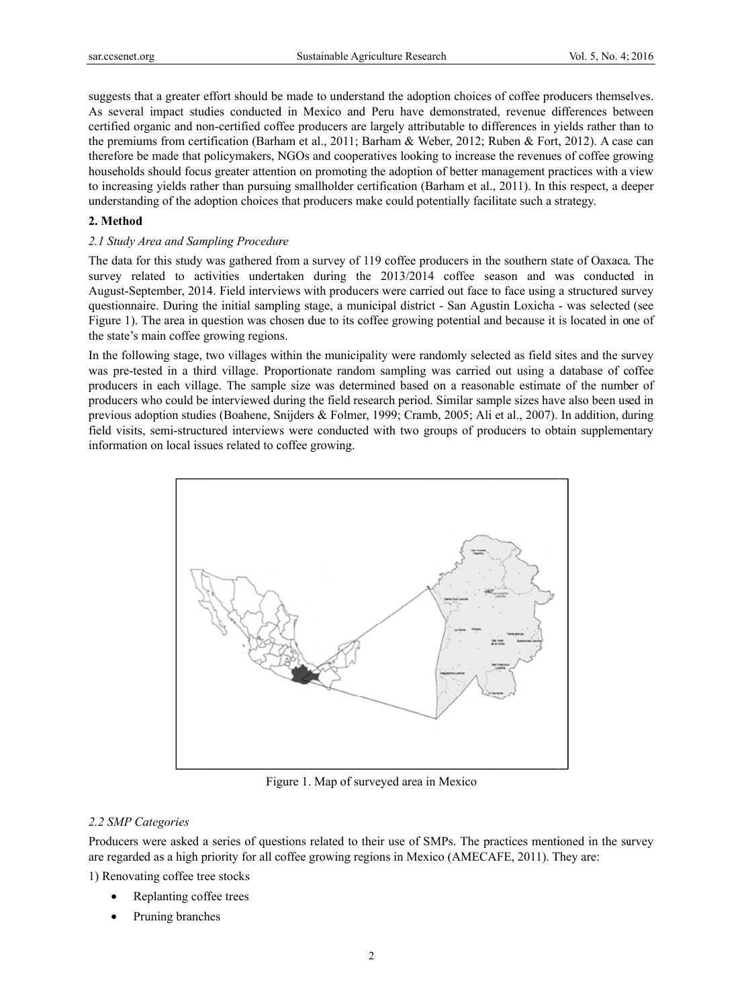suggests that a greater effort should be made to understand the adoption choices of coffee producers themselves. As several impact studies conducted in Mexico and Peru have demonstrated, revenue differences between certified organic and non-certified coffee producers are largely attributable to differences in yields rather than to the premiums from certification (Barham et al., 2011; Barham & Weber, 2012; Ruben & Fort, 2012). A case can therefore be made that policymakers, NGOs and cooperatives looking to increase the revenues of coffee growing households should focus greater attention on promoting the adoption of better management practices with a view to increasing yields rather than pursuing smallholder certification (Barham et al., 2011). In this respect, a deeper understanding of the adoption choices that producers make could potentially facilitate such a strategy.

## **2. Method d**

#### 2.1 Study Area and Sampling Procedure

The data for this study was gathered from a survey of 119 coffee producers in the southern state of Oaxaca. The survey related to activities undertaken during the 2013/2014 coffee season and was conducted in August-September, 2014. Field interviews with producers were carried out face to face using a structured survey questionnaire. During the initial sampling stage, a municipal district - San Agustin Loxicha - was selected (see Figure 1). The area in question was chosen due to its coffee growing potential and because it is located in one of the state's main coffee growing regions.

In the following stage, two villages within the municipality were randomly selected as field sites and the survey was pre-tested in a third village. Proportionate random sampling was carried out using a database of coffee producers in each village. The sample size was determined based on a reasonable estimate of the number of producers who could be interviewed during the field research period. Similar sample sizes have also been used in previous adoption studies (Boahene, Snijders & Folmer, 1999; Cramb, 2005; Ali et al., 2007). In addition, during field visits, semi-structured interviews were conducted with two groups of producers to obtain supplementary information on local issues related to coffee growing.



Figure 1. Map of surveyed area in Mexico

# *2.2 SMP C Categories*

Producers were asked a series of questions related to their use of SMPs. The practices mentioned in the survey are regarded as a high priority for all coffee growing regions in Mexico (AMECAFE, 2011). They are:

1) Renovating coffee tree stocks

- Replanting coffee trees
- Pruning branches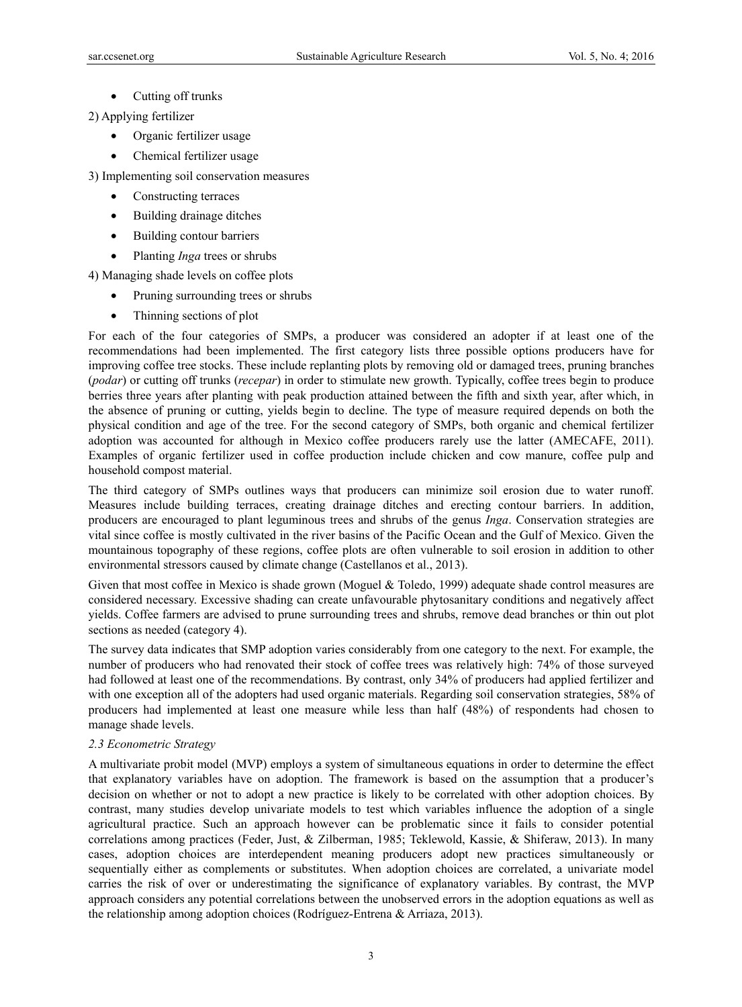Cutting off trunks

2) Applying fertilizer

- Organic fertilizer usage
- Chemical fertilizer usage

3) Implementing soil conservation measures

- Constructing terraces
- Building drainage ditches
- Building contour barriers
- Planting *Inga* trees or shrubs

4) Managing shade levels on coffee plots

- Pruning surrounding trees or shrubs
- Thinning sections of plot

For each of the four categories of SMPs, a producer was considered an adopter if at least one of the recommendations had been implemented. The first category lists three possible options producers have for improving coffee tree stocks. These include replanting plots by removing old or damaged trees, pruning branches (*podar*) or cutting off trunks (*recepar*) in order to stimulate new growth. Typically, coffee trees begin to produce berries three years after planting with peak production attained between the fifth and sixth year, after which, in the absence of pruning or cutting, yields begin to decline. The type of measure required depends on both the physical condition and age of the tree. For the second category of SMPs, both organic and chemical fertilizer adoption was accounted for although in Mexico coffee producers rarely use the latter (AMECAFE, 2011). Examples of organic fertilizer used in coffee production include chicken and cow manure, coffee pulp and household compost material.

The third category of SMPs outlines ways that producers can minimize soil erosion due to water runoff. Measures include building terraces, creating drainage ditches and erecting contour barriers. In addition, producers are encouraged to plant leguminous trees and shrubs of the genus *Inga*. Conservation strategies are vital since coffee is mostly cultivated in the river basins of the Pacific Ocean and the Gulf of Mexico. Given the mountainous topography of these regions, coffee plots are often vulnerable to soil erosion in addition to other environmental stressors caused by climate change (Castellanos et al., 2013).

Given that most coffee in Mexico is shade grown (Moguel & Toledo, 1999) adequate shade control measures are considered necessary. Excessive shading can create unfavourable phytosanitary conditions and negatively affect yields. Coffee farmers are advised to prune surrounding trees and shrubs, remove dead branches or thin out plot sections as needed (category 4).

The survey data indicates that SMP adoption varies considerably from one category to the next. For example, the number of producers who had renovated their stock of coffee trees was relatively high: 74% of those surveyed had followed at least one of the recommendations. By contrast, only 34% of producers had applied fertilizer and with one exception all of the adopters had used organic materials. Regarding soil conservation strategies, 58% of producers had implemented at least one measure while less than half (48%) of respondents had chosen to manage shade levels.

# *2.3 Econometric Strategy*

A multivariate probit model (MVP) employs a system of simultaneous equations in order to determine the effect that explanatory variables have on adoption. The framework is based on the assumption that a producer's decision on whether or not to adopt a new practice is likely to be correlated with other adoption choices. By contrast, many studies develop univariate models to test which variables influence the adoption of a single agricultural practice. Such an approach however can be problematic since it fails to consider potential correlations among practices (Feder, Just, & Zilberman, 1985; Teklewold, Kassie, & Shiferaw, 2013). In many cases, adoption choices are interdependent meaning producers adopt new practices simultaneously or sequentially either as complements or substitutes. When adoption choices are correlated, a univariate model carries the risk of over or underestimating the significance of explanatory variables. By contrast, the MVP approach considers any potential correlations between the unobserved errors in the adoption equations as well as the relationship among adoption choices (Rodríguez-Entrena & Arriaza, 2013).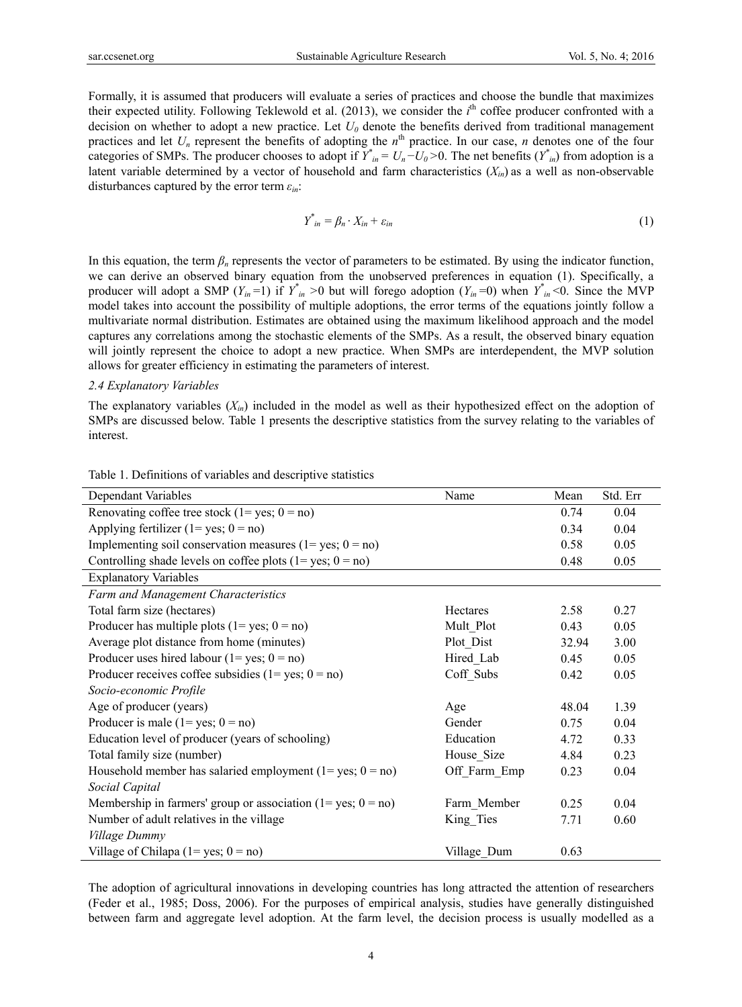Formally, it is assumed that producers will evaluate a series of practices and choose the bundle that maximizes their expected utility. Following Teklewold et al.  $(2013)$ , we consider the  $i<sup>th</sup>$  coffee producer confronted with a decision on whether to adopt a new practice. Let  $U_0$  denote the benefits derived from traditional management practices and let  $U_n$  represent the benefits of adopting the  $n^{\text{th}}$  practice. In our case, *n* denotes one of the four categories of SMPs. The producer chooses to adopt if  $Y^*_{in} = U_n - U_0 > 0$ . The net benefits  $(Y^*_{in})$  from adoption is a latent variable determined by a vector of household and farm characteristics  $(X<sub>in</sub>)$  as a well as non-observable disturbances captured by the error term *εin*:

$$
Y^*_{in} = \beta_n \cdot X_{in} + \varepsilon_{in} \tag{1}
$$

In this equation, the term  $\beta_n$  represents the vector of parameters to be estimated. By using the indicator function, we can derive an observed binary equation from the unobserved preferences in equation (1). Specifically, a producer will adopt a SMP ( $Y_{in}$ =1) if  $Y^*_{in}$  >0 but will forego adoption ( $Y_{in}$ =0) when  $Y^*_{in}$  <0. Since the MVP model takes into account the possibility of multiple adoptions, the error terms of the equations jointly follow a multivariate normal distribution. Estimates are obtained using the maximum likelihood approach and the model captures any correlations among the stochastic elements of the SMPs. As a result, the observed binary equation will jointly represent the choice to adopt a new practice. When SMPs are interdependent, the MVP solution allows for greater efficiency in estimating the parameters of interest.

#### *2.4 Explanatory Variables*

The explanatory variables  $(X_{in})$  included in the model as well as their hypothesized effect on the adoption of SMPs are discussed below. Table 1 presents the descriptive statistics from the survey relating to the variables of interest.

| Dependant Variables                                                  | Name         | Mean  | Std. Err |
|----------------------------------------------------------------------|--------------|-------|----------|
| Renovating coffee tree stock $(1 = yes; 0 = no)$                     |              | 0.74  | 0.04     |
| Applying fertilizer $(1 = yes; 0 = no)$                              |              | 0.34  | 0.04     |
| Implementing soil conservation measures $(1 = yes; 0 = no)$          |              | 0.58  | 0.05     |
| Controlling shade levels on coffee plots $(1 = yes; 0 = no)$         |              | 0.48  | 0.05     |
| <b>Explanatory Variables</b>                                         |              |       |          |
| Farm and Management Characteristics                                  |              |       |          |
| Total farm size (hectares)                                           | Hectares     | 2.58  | 0.27     |
| Producer has multiple plots $(1 = yes; 0 = no)$                      | Mult Plot    | 0.43  | 0.05     |
| Average plot distance from home (minutes)                            | Plot Dist    | 32.94 | 3.00     |
| Producer uses hired labour ( $1 = yes$ ; $0 = no$ )                  | Hired Lab    | 0.45  | 0.05     |
| Producer receives coffee subsidies $(1 = yes; 0 = no)$               | Coff Subs    | 0.42  | 0.05     |
| Socio-economic Profile                                               |              |       |          |
| Age of producer (years)                                              | Age          | 48.04 | 1.39     |
| Producer is male $(1 = yes; 0 = no)$                                 | Gender       | 0.75  | 0.04     |
| Education level of producer (years of schooling)                     | Education    | 4.72  | 0.33     |
| Total family size (number)                                           | House Size   | 4.84  | 0.23     |
| Household member has salaried employment $(1 = yes; 0 = no)$         | Off_Farm_Emp | 0.23  | 0.04     |
| Social Capital                                                       |              |       |          |
| Membership in farmers' group or association ( $1 = yes$ ; $0 = no$ ) | Farm Member  | 0.25  | 0.04     |
| Number of adult relatives in the village                             | King Ties    | 7.71  | 0.60     |
| Village Dummy                                                        |              |       |          |
| Village of Chilapa ( $1 = yes$ ; $0 = no$ )                          | Village Dum  | 0.63  |          |

Table 1. Definitions of variables and descriptive statistics

The adoption of agricultural innovations in developing countries has long attracted the attention of researchers (Feder et al., 1985; Doss, 2006). For the purposes of empirical analysis, studies have generally distinguished between farm and aggregate level adoption. At the farm level, the decision process is usually modelled as a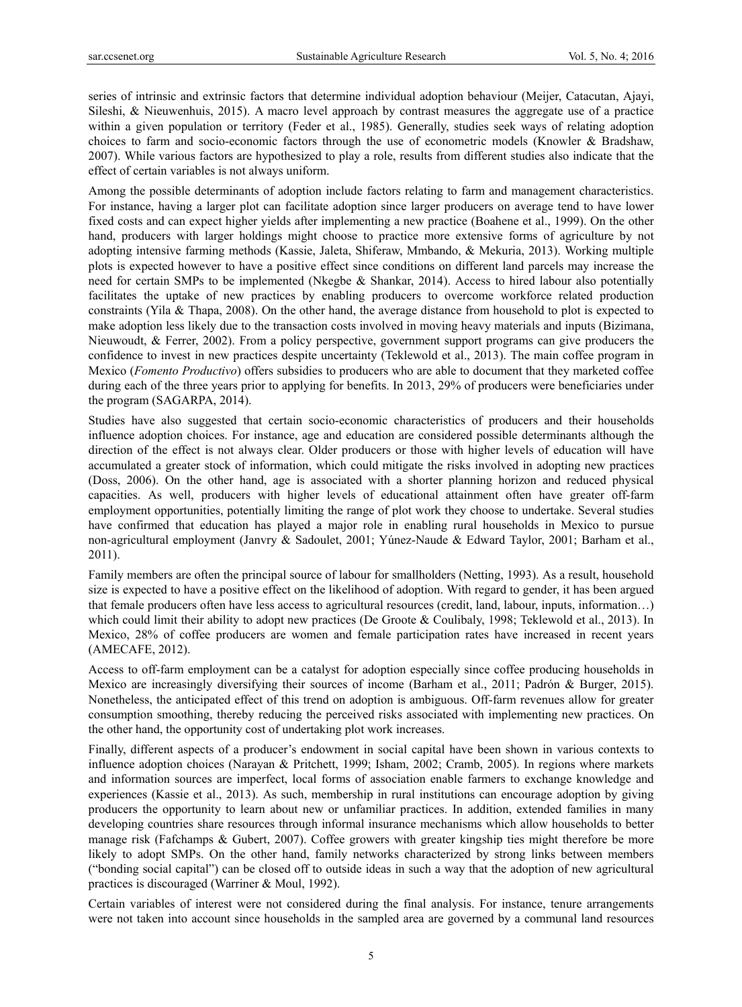series of intrinsic and extrinsic factors that determine individual adoption behaviour (Meijer, Catacutan, Ajayi, Sileshi, & Nieuwenhuis, 2015). A macro level approach by contrast measures the aggregate use of a practice within a given population or territory (Feder et al., 1985). Generally, studies seek ways of relating adoption choices to farm and socio-economic factors through the use of econometric models (Knowler & Bradshaw, 2007). While various factors are hypothesized to play a role, results from different studies also indicate that the effect of certain variables is not always uniform.

Among the possible determinants of adoption include factors relating to farm and management characteristics. For instance, having a larger plot can facilitate adoption since larger producers on average tend to have lower fixed costs and can expect higher yields after implementing a new practice (Boahene et al., 1999). On the other hand, producers with larger holdings might choose to practice more extensive forms of agriculture by not adopting intensive farming methods (Kassie, Jaleta, Shiferaw, Mmbando, & Mekuria, 2013). Working multiple plots is expected however to have a positive effect since conditions on different land parcels may increase the need for certain SMPs to be implemented (Nkegbe & Shankar, 2014). Access to hired labour also potentially facilitates the uptake of new practices by enabling producers to overcome workforce related production constraints (Yila & Thapa, 2008). On the other hand, the average distance from household to plot is expected to make adoption less likely due to the transaction costs involved in moving heavy materials and inputs (Bizimana, Nieuwoudt, & Ferrer, 2002). From a policy perspective, government support programs can give producers the confidence to invest in new practices despite uncertainty (Teklewold et al., 2013). The main coffee program in Mexico (*Fomento Productivo*) offers subsidies to producers who are able to document that they marketed coffee during each of the three years prior to applying for benefits. In 2013, 29% of producers were beneficiaries under the program (SAGARPA, 2014).

Studies have also suggested that certain socio-economic characteristics of producers and their households influence adoption choices. For instance, age and education are considered possible determinants although the direction of the effect is not always clear. Older producers or those with higher levels of education will have accumulated a greater stock of information, which could mitigate the risks involved in adopting new practices (Doss, 2006). On the other hand, age is associated with a shorter planning horizon and reduced physical capacities. As well, producers with higher levels of educational attainment often have greater off-farm employment opportunities, potentially limiting the range of plot work they choose to undertake. Several studies have confirmed that education has played a major role in enabling rural households in Mexico to pursue non-agricultural employment (Janvry & Sadoulet, 2001; Yúnez-Naude & Edward Taylor, 2001; Barham et al., 2011).

Family members are often the principal source of labour for smallholders (Netting, 1993). As a result, household size is expected to have a positive effect on the likelihood of adoption. With regard to gender, it has been argued that female producers often have less access to agricultural resources (credit, land, labour, inputs, information…) which could limit their ability to adopt new practices (De Groote & Coulibaly, 1998; Teklewold et al., 2013). In Mexico, 28% of coffee producers are women and female participation rates have increased in recent years (AMECAFE, 2012).

Access to off-farm employment can be a catalyst for adoption especially since coffee producing households in Mexico are increasingly diversifying their sources of income (Barham et al., 2011; Padrón & Burger, 2015). Nonetheless, the anticipated effect of this trend on adoption is ambiguous. Off-farm revenues allow for greater consumption smoothing, thereby reducing the perceived risks associated with implementing new practices. On the other hand, the opportunity cost of undertaking plot work increases.

Finally, different aspects of a producer's endowment in social capital have been shown in various contexts to influence adoption choices (Narayan & Pritchett, 1999; Isham, 2002; Cramb, 2005). In regions where markets and information sources are imperfect, local forms of association enable farmers to exchange knowledge and experiences (Kassie et al., 2013). As such, membership in rural institutions can encourage adoption by giving producers the opportunity to learn about new or unfamiliar practices. In addition, extended families in many developing countries share resources through informal insurance mechanisms which allow households to better manage risk (Fafchamps & Gubert, 2007). Coffee growers with greater kingship ties might therefore be more likely to adopt SMPs. On the other hand, family networks characterized by strong links between members ("bonding social capital") can be closed off to outside ideas in such a way that the adoption of new agricultural practices is discouraged (Warriner & Moul, 1992).

Certain variables of interest were not considered during the final analysis. For instance, tenure arrangements were not taken into account since households in the sampled area are governed by a communal land resources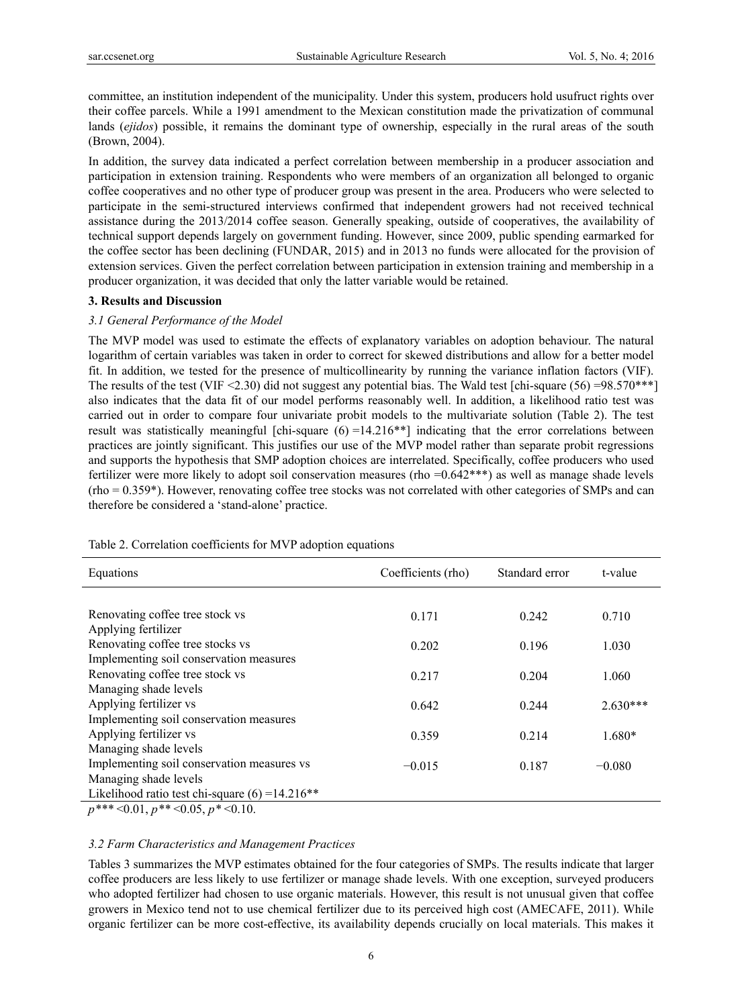committee, an institution independent of the municipality. Under this system, producers hold usufruct rights over their coffee parcels. While a 1991 amendment to the Mexican constitution made the privatization of communal lands (*ejidos*) possible, it remains the dominant type of ownership, especially in the rural areas of the south (Brown, 2004).

In addition, the survey data indicated a perfect correlation between membership in a producer association and participation in extension training. Respondents who were members of an organization all belonged to organic coffee cooperatives and no other type of producer group was present in the area. Producers who were selected to participate in the semi-structured interviews confirmed that independent growers had not received technical assistance during the 2013/2014 coffee season. Generally speaking, outside of cooperatives, the availability of technical support depends largely on government funding. However, since 2009, public spending earmarked for the coffee sector has been declining (FUNDAR, 2015) and in 2013 no funds were allocated for the provision of extension services. Given the perfect correlation between participation in extension training and membership in a producer organization, it was decided that only the latter variable would be retained.

#### **3. Results and Discussion**

# *3.1 General Performance of the Model*

The MVP model was used to estimate the effects of explanatory variables on adoption behaviour. The natural logarithm of certain variables was taken in order to correct for skewed distributions and allow for a better model fit. In addition, we tested for the presence of multicollinearity by running the variance inflation factors (VIF). The results of the test (VIF  $\leq$ 2.30) did not suggest any potential bias. The Wald test [chi-square (56) =98.570\*\*\*] also indicates that the data fit of our model performs reasonably well. In addition, a likelihood ratio test was carried out in order to compare four univariate probit models to the multivariate solution (Table 2). The test result was statistically meaningful [chi-square (6) =14.216\*\*] indicating that the error correlations between practices are jointly significant. This justifies our use of the MVP model rather than separate probit regressions and supports the hypothesis that SMP adoption choices are interrelated. Specifically, coffee producers who used fertilizer were more likely to adopt soil conservation measures (rho =0.642\*\*\*) as well as manage shade levels (rho = 0.359\*). However, renovating coffee tree stocks was not correlated with other categories of SMPs and can therefore be considered a 'stand-alone' practice.

| Equations                                         | Coefficients (rho) | Standard error | t-value    |
|---------------------------------------------------|--------------------|----------------|------------|
|                                                   |                    |                |            |
| Renovating coffee tree stock vs                   | 0.171              | 0.242          | 0.710      |
| Applying fertilizer                               |                    |                |            |
| Renovating coffee tree stocks vs                  | 0.202              | 0.196          | 1.030      |
| Implementing soil conservation measures           |                    |                |            |
| Renovating coffee tree stock vs                   | 0.217              | 0.204          | 1.060      |
| Managing shade levels                             |                    |                |            |
| Applying fertilizer vs                            | 0.642              | 0.244          | $2.630***$ |
| Implementing soil conservation measures           |                    |                |            |
| Applying fertilizer vs                            | 0.359              | 0.214          | 1.680*     |
| Managing shade levels                             |                    |                |            |
| Implementing soil conservation measures vs        | $-0.015$           | 0.187          | $-0.080$   |
| Managing shade levels                             |                    |                |            |
| Likelihood ratio test chi-square $(6) = 14.216**$ |                    |                |            |
| $p^{***}<0.01, p^{**}<0.05, p^{*}<0.10.$          |                    |                |            |

Table 2. Correlation coefficients for MVP adoption equations

#### *3.2 Farm Characteristics and Management Practices*

Tables 3 summarizes the MVP estimates obtained for the four categories of SMPs. The results indicate that larger coffee producers are less likely to use fertilizer or manage shade levels. With one exception, surveyed producers who adopted fertilizer had chosen to use organic materials. However, this result is not unusual given that coffee growers in Mexico tend not to use chemical fertilizer due to its perceived high cost (AMECAFE, 2011). While organic fertilizer can be more cost-effective, its availability depends crucially on local materials. This makes it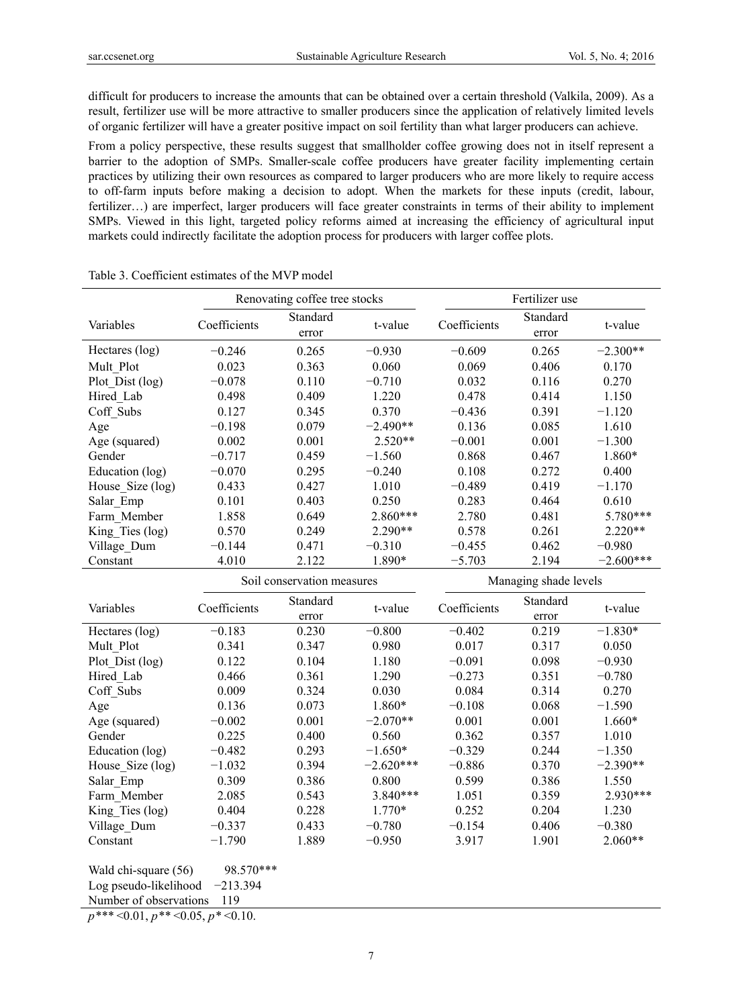difficult for producers to increase the amounts that can be obtained over a certain threshold (Valkila, 2009). As a result, fertilizer use will be more attractive to smaller producers since the application of relatively limited levels of organic fertilizer will have a greater positive impact on soil fertility than what larger producers can achieve.

From a policy perspective, these results suggest that smallholder coffee growing does not in itself represent a barrier to the adoption of SMPs. Smaller-scale coffee producers have greater facility implementing certain practices by utilizing their own resources as compared to larger producers who are more likely to require access to off-farm inputs before making a decision to adopt. When the markets for these inputs (credit, labour, fertilizer…) are imperfect, larger producers will face greater constraints in terms of their ability to implement SMPs. Viewed in this light, targeted policy reforms aimed at increasing the efficiency of agricultural input markets could indirectly facilitate the adoption process for producers with larger coffee plots.

|                                     | Renovating coffee tree stocks |                   | Fertilizer use        |              |                   |             |
|-------------------------------------|-------------------------------|-------------------|-----------------------|--------------|-------------------|-------------|
| Variables                           | Coefficients                  | Standard<br>error | t-value               | Coefficients | Standard<br>error | t-value     |
| Hectares (log)                      | $-0.246$                      | 0.265             | $-0.930$              | $-0.609$     | 0.265             | $-2.300**$  |
| Mult Plot                           | 0.023                         | 0.363             | 0.060                 | 0.069        | 0.406             | 0.170       |
| Plot Dist (log)                     | $-0.078$                      | 0.110             | $-0.710$              | 0.032        | 0.116             | 0.270       |
| Hired Lab                           | 0.498                         | 0.409             | 1.220                 | 0.478        | 0.414             | 1.150       |
| Coff Subs                           | 0.127                         | 0.345             | 0.370                 | $-0.436$     | 0.391             | $-1.120$    |
| Age                                 | $-0.198$                      | 0.079             | $-2.490**$            | 0.136        | 0.085             | 1.610       |
| Age (squared)                       | 0.002                         | 0.001             | $2.520**$             | $-0.001$     | 0.001             | $-1.300$    |
| Gender                              | $-0.717$                      | 0.459             | $-1.560$              | 0.868        | 0.467             | 1.860*      |
| Education (log)                     | $-0.070$                      | 0.295             | $-0.240$              | 0.108        | 0.272             | 0.400       |
| House_Size (log)                    | 0.433                         | 0.427             | 1.010                 | $-0.489$     | 0.419             | $-1.170$    |
| Salar_Emp                           | 0.101                         | 0.403             | 0.250                 | 0.283        | 0.464             | 0.610       |
| Farm Member                         | 1.858                         | 0.649             | 2.860***              | 2.780        | 0.481             | 5.780***    |
| King_Ties (log)                     | 0.570                         | 0.249             | 2.290**               | 0.578        | 0.261             | 2.220**     |
| Village Dum                         | $-0.144$                      | 0.471             | $-0.310$              | $-0.455$     | 0.462             | $-0.980$    |
| Constant                            | 4.010                         | 2.122             | 1.890*                | $-5.703$     | 2.194             | $-2.600***$ |
|                                     | Soil conservation measures    |                   | Managing shade levels |              |                   |             |
| Variables                           | Coefficients                  | Standard<br>error | t-value               | Coefficients | Standard<br>error | t-value     |
| Hectares (log)                      | $-0.183$                      | 0.230             | $-0.800$              | $-0.402$     | 0.219             | $-1.830*$   |
| Mult Plot                           | 0.341                         | 0.347             | 0.980                 | 0.017        | 0.317             | 0.050       |
| Plot Dist (log)                     | 0.122                         | 0.104             | 1.180                 | $-0.091$     | 0.098             | $-0.930$    |
| Hired Lab                           | 0.466                         | 0.361             | 1.290                 | $-0.273$     | 0.351             | $-0.780$    |
| Coff Subs                           | 0.009                         | 0.324             | 0.030                 | 0.084        | 0.314             | 0.270       |
| Age                                 | 0.136                         | 0.073             | 1.860*                | $-0.108$     | 0.068             | $-1.590$    |
| Age (squared)                       | $-0.002$                      | 0.001             | $-2.070**$            | 0.001        | 0.001             | 1.660*      |
| Gender                              | 0.225                         | 0.400             | 0.560                 | 0.362        | 0.357             | 1.010       |
| Education (log)                     | $-0.482$                      | 0.293             | $-1.650*$             | $-0.329$     | 0.244             | $-1.350$    |
| House Size (log)                    | $-1.032$                      | 0.394             | $-2.620***$           | $-0.886$     | 0.370             | $-2.390**$  |
| Salar Emp                           | 0.309                         | 0.386             | 0.800                 | 0.599        | 0.386             | 1.550       |
| Farm Member                         | 2.085                         | 0.543             | 3.840***              | 1.051        | 0.359             | 2.930***    |
| King Ties (log)                     | 0.404                         | 0.228             | 1.770*                | 0.252        | 0.204             | 1.230       |
| Village Dum                         | $-0.337$                      | 0.433             | $-0.780$              | $-0.154$     | 0.406             | $-0.380$    |
| Constant                            | $-1.790$                      | 1.889             | $-0.950$              | 3.917        | 1.901             | 2.060**     |
| Wald chi-square (56)<br>98.570***   |                               |                   |                       |              |                   |             |
| Log pseudo-likelihood<br>$-213.394$ |                               |                   |                       |              |                   |             |
| 119<br>Number of observations       |                               |                   |                       |              |                   |             |

| Table 3. Coefficient estimates of the MVP model |  |  |
|-------------------------------------------------|--|--|
|                                                 |  |  |

 $p^{***}$  < 0.01,  $p^{**}$  < 0.05,  $p^{*}$  < 0.10.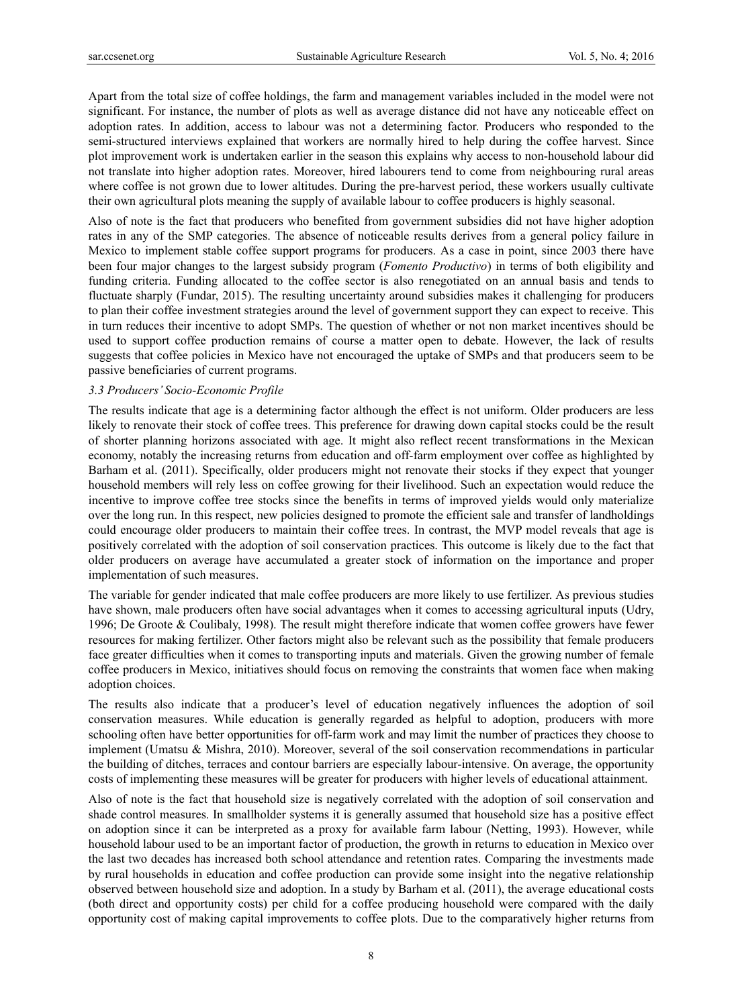Apart from the total size of coffee holdings, the farm and management variables included in the model were not significant. For instance, the number of plots as well as average distance did not have any noticeable effect on adoption rates. In addition, access to labour was not a determining factor. Producers who responded to the semi-structured interviews explained that workers are normally hired to help during the coffee harvest. Since plot improvement work is undertaken earlier in the season this explains why access to non-household labour did not translate into higher adoption rates. Moreover, hired labourers tend to come from neighbouring rural areas where coffee is not grown due to lower altitudes. During the pre-harvest period, these workers usually cultivate their own agricultural plots meaning the supply of available labour to coffee producers is highly seasonal.

Also of note is the fact that producers who benefited from government subsidies did not have higher adoption rates in any of the SMP categories. The absence of noticeable results derives from a general policy failure in Mexico to implement stable coffee support programs for producers. As a case in point, since 2003 there have been four major changes to the largest subsidy program (*Fomento Productivo*) in terms of both eligibility and funding criteria. Funding allocated to the coffee sector is also renegotiated on an annual basis and tends to fluctuate sharply (Fundar, 2015). The resulting uncertainty around subsidies makes it challenging for producers to plan their coffee investment strategies around the level of government support they can expect to receive. This in turn reduces their incentive to adopt SMPs. The question of whether or not non market incentives should be used to support coffee production remains of course a matter open to debate. However, the lack of results suggests that coffee policies in Mexico have not encouraged the uptake of SMPs and that producers seem to be passive beneficiaries of current programs.

#### *3.3 Producers' Socio-Economic Profile*

The results indicate that age is a determining factor although the effect is not uniform. Older producers are less likely to renovate their stock of coffee trees. This preference for drawing down capital stocks could be the result of shorter planning horizons associated with age. It might also reflect recent transformations in the Mexican economy, notably the increasing returns from education and off-farm employment over coffee as highlighted by Barham et al. (2011). Specifically, older producers might not renovate their stocks if they expect that younger household members will rely less on coffee growing for their livelihood. Such an expectation would reduce the incentive to improve coffee tree stocks since the benefits in terms of improved yields would only materialize over the long run. In this respect, new policies designed to promote the efficient sale and transfer of landholdings could encourage older producers to maintain their coffee trees. In contrast, the MVP model reveals that age is positively correlated with the adoption of soil conservation practices. This outcome is likely due to the fact that older producers on average have accumulated a greater stock of information on the importance and proper implementation of such measures.

The variable for gender indicated that male coffee producers are more likely to use fertilizer. As previous studies have shown, male producers often have social advantages when it comes to accessing agricultural inputs (Udry, 1996; De Groote & Coulibaly, 1998). The result might therefore indicate that women coffee growers have fewer resources for making fertilizer. Other factors might also be relevant such as the possibility that female producers face greater difficulties when it comes to transporting inputs and materials. Given the growing number of female coffee producers in Mexico, initiatives should focus on removing the constraints that women face when making adoption choices.

The results also indicate that a producer's level of education negatively influences the adoption of soil conservation measures. While education is generally regarded as helpful to adoption, producers with more schooling often have better opportunities for off-farm work and may limit the number of practices they choose to implement (Umatsu & Mishra, 2010). Moreover, several of the soil conservation recommendations in particular the building of ditches, terraces and contour barriers are especially labour-intensive. On average, the opportunity costs of implementing these measures will be greater for producers with higher levels of educational attainment.

Also of note is the fact that household size is negatively correlated with the adoption of soil conservation and shade control measures. In smallholder systems it is generally assumed that household size has a positive effect on adoption since it can be interpreted as a proxy for available farm labour (Netting, 1993). However, while household labour used to be an important factor of production, the growth in returns to education in Mexico over the last two decades has increased both school attendance and retention rates. Comparing the investments made by rural households in education and coffee production can provide some insight into the negative relationship observed between household size and adoption. In a study by Barham et al. (2011), the average educational costs (both direct and opportunity costs) per child for a coffee producing household were compared with the daily opportunity cost of making capital improvements to coffee plots. Due to the comparatively higher returns from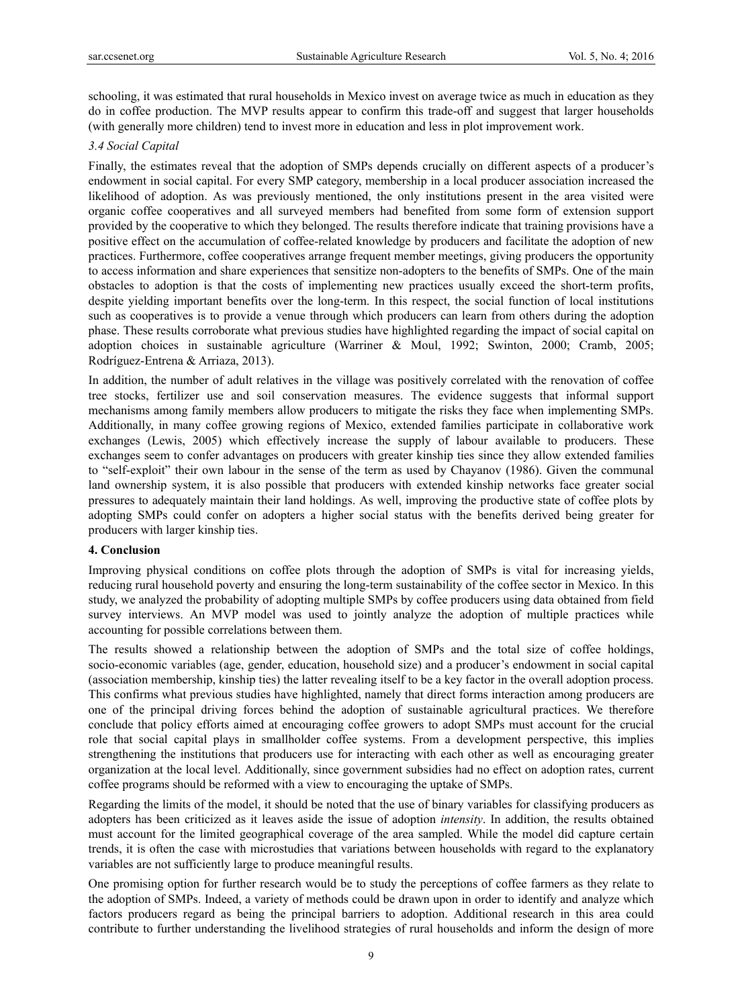schooling, it was estimated that rural households in Mexico invest on average twice as much in education as they do in coffee production. The MVP results appear to confirm this trade-off and suggest that larger households (with generally more children) tend to invest more in education and less in plot improvement work.

# *3.4 Social Capital*

Finally, the estimates reveal that the adoption of SMPs depends crucially on different aspects of a producer's endowment in social capital. For every SMP category, membership in a local producer association increased the likelihood of adoption. As was previously mentioned, the only institutions present in the area visited were organic coffee cooperatives and all surveyed members had benefited from some form of extension support provided by the cooperative to which they belonged. The results therefore indicate that training provisions have a positive effect on the accumulation of coffee-related knowledge by producers and facilitate the adoption of new practices. Furthermore, coffee cooperatives arrange frequent member meetings, giving producers the opportunity to access information and share experiences that sensitize non-adopters to the benefits of SMPs. One of the main obstacles to adoption is that the costs of implementing new practices usually exceed the short-term profits, despite yielding important benefits over the long-term. In this respect, the social function of local institutions such as cooperatives is to provide a venue through which producers can learn from others during the adoption phase. These results corroborate what previous studies have highlighted regarding the impact of social capital on adoption choices in sustainable agriculture (Warriner & Moul, 1992; Swinton, 2000; Cramb, 2005; Rodríguez-Entrena & Arriaza, 2013).

In addition, the number of adult relatives in the village was positively correlated with the renovation of coffee tree stocks, fertilizer use and soil conservation measures. The evidence suggests that informal support mechanisms among family members allow producers to mitigate the risks they face when implementing SMPs. Additionally, in many coffee growing regions of Mexico, extended families participate in collaborative work exchanges (Lewis, 2005) which effectively increase the supply of labour available to producers. These exchanges seem to confer advantages on producers with greater kinship ties since they allow extended families to "self-exploit" their own labour in the sense of the term as used by Chayanov (1986). Given the communal land ownership system, it is also possible that producers with extended kinship networks face greater social pressures to adequately maintain their land holdings. As well, improving the productive state of coffee plots by adopting SMPs could confer on adopters a higher social status with the benefits derived being greater for producers with larger kinship ties.

# **4. Conclusion**

Improving physical conditions on coffee plots through the adoption of SMPs is vital for increasing yields, reducing rural household poverty and ensuring the long-term sustainability of the coffee sector in Mexico. In this study, we analyzed the probability of adopting multiple SMPs by coffee producers using data obtained from field survey interviews. An MVP model was used to jointly analyze the adoption of multiple practices while accounting for possible correlations between them.

The results showed a relationship between the adoption of SMPs and the total size of coffee holdings, socio-economic variables (age, gender, education, household size) and a producer's endowment in social capital (association membership, kinship ties) the latter revealing itself to be a key factor in the overall adoption process. This confirms what previous studies have highlighted, namely that direct forms interaction among producers are one of the principal driving forces behind the adoption of sustainable agricultural practices. We therefore conclude that policy efforts aimed at encouraging coffee growers to adopt SMPs must account for the crucial role that social capital plays in smallholder coffee systems. From a development perspective, this implies strengthening the institutions that producers use for interacting with each other as well as encouraging greater organization at the local level. Additionally, since government subsidies had no effect on adoption rates, current coffee programs should be reformed with a view to encouraging the uptake of SMPs.

Regarding the limits of the model, it should be noted that the use of binary variables for classifying producers as adopters has been criticized as it leaves aside the issue of adoption *intensity*. In addition, the results obtained must account for the limited geographical coverage of the area sampled. While the model did capture certain trends, it is often the case with microstudies that variations between households with regard to the explanatory variables are not sufficiently large to produce meaningful results.

One promising option for further research would be to study the perceptions of coffee farmers as they relate to the adoption of SMPs. Indeed, a variety of methods could be drawn upon in order to identify and analyze which factors producers regard as being the principal barriers to adoption. Additional research in this area could contribute to further understanding the livelihood strategies of rural households and inform the design of more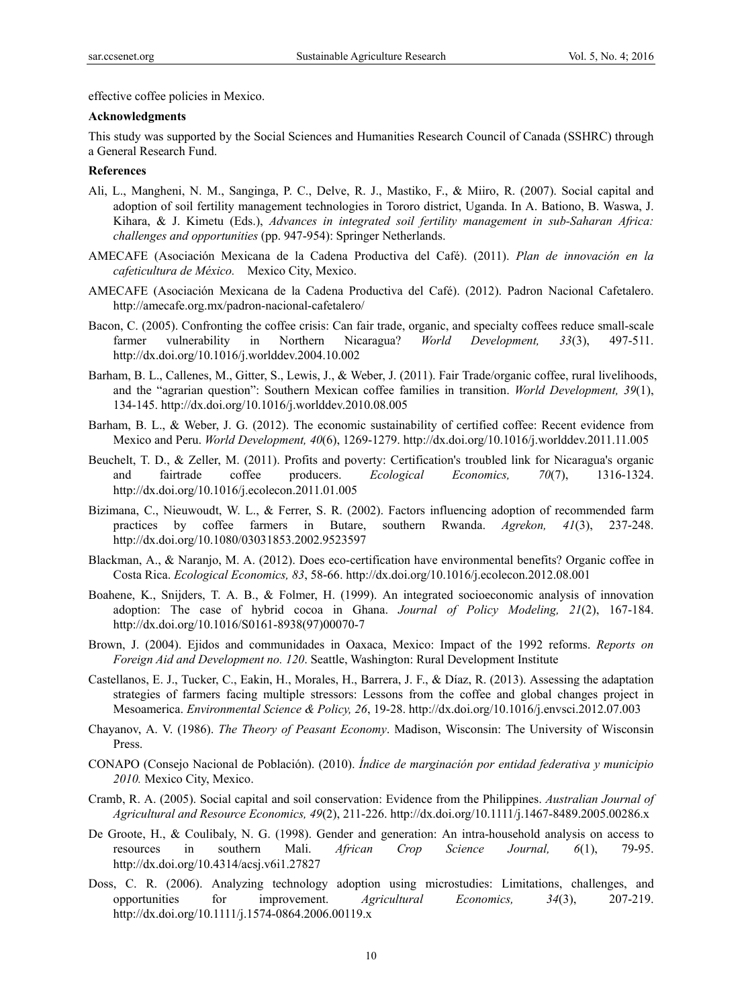effective coffee policies in Mexico.

## **Acknowledgments**

This study was supported by the Social Sciences and Humanities Research Council of Canada (SSHRC) through a General Research Fund.

#### **References**

- Ali, L., Mangheni, N. M., Sanginga, P. C., Delve, R. J., Mastiko, F., & Miiro, R. (2007). Social capital and adoption of soil fertility management technologies in Tororo district, Uganda. In A. Bationo, B. Waswa, J. Kihara, & J. Kimetu (Eds.), *Advances in integrated soil fertility management in sub-Saharan Africa: challenges and opportunities* (pp. 947-954): Springer Netherlands.
- AMECAFE (Asociación Mexicana de la Cadena Productiva del Café). (2011). *Plan de innovación en la cafeticultura de México.* Mexico City, Mexico.
- AMECAFE (Asociación Mexicana de la Cadena Productiva del Café). (2012). Padron Nacional Cafetalero. http://amecafe.org.mx/padron-nacional-cafetalero/
- Bacon, C. (2005). Confronting the coffee crisis: Can fair trade, organic, and specialty coffees reduce small-scale farmer vulnerability in Northern Nicaragua? *World Development, 33*(3), 497-511. http://dx.doi.org/10.1016/j.worlddev.2004.10.002
- Barham, B. L., Callenes, M., Gitter, S., Lewis, J., & Weber, J. (2011). Fair Trade/organic coffee, rural livelihoods, and the "agrarian question": Southern Mexican coffee families in transition. *World Development, 39*(1), 134-145. http://dx.doi.org/10.1016/j.worlddev.2010.08.005
- Barham, B. L., & Weber, J. G. (2012). The economic sustainability of certified coffee: Recent evidence from Mexico and Peru. *World Development, 40*(6), 1269-1279. http://dx.doi.org/10.1016/j.worlddev.2011.11.005
- Beuchelt, T. D., & Zeller, M. (2011). Profits and poverty: Certification's troubled link for Nicaragua's organic and fairtrade coffee producers. *Ecological Economics, 70*(7), 1316-1324. http://dx.doi.org/10.1016/j.ecolecon.2011.01.005
- Bizimana, C., Nieuwoudt, W. L., & Ferrer, S. R. (2002). Factors influencing adoption of recommended farm practices by coffee farmers in Butare, southern Rwanda. *Agrekon, 41*(3), 237-248. http://dx.doi.org/10.1080/03031853.2002.9523597
- Blackman, A., & Naranjo, M. A. (2012). Does eco-certification have environmental benefits? Organic coffee in Costa Rica. *Ecological Economics, 83*, 58-66. http://dx.doi.org/10.1016/j.ecolecon.2012.08.001
- Boahene, K., Snijders, T. A. B., & Folmer, H. (1999). An integrated socioeconomic analysis of innovation adoption: The case of hybrid cocoa in Ghana. *Journal of Policy Modeling, 21*(2), 167-184. http://dx.doi.org/10.1016/S0161-8938(97)00070-7
- Brown, J. (2004). Ejidos and communidades in Oaxaca, Mexico: Impact of the 1992 reforms. *Reports on Foreign Aid and Development no. 120*. Seattle, Washington: Rural Development Institute
- Castellanos, E. J., Tucker, C., Eakin, H., Morales, H., Barrera, J. F., & Díaz, R. (2013). Assessing the adaptation strategies of farmers facing multiple stressors: Lessons from the coffee and global changes project in Mesoamerica. *Environmental Science & Policy, 26*, 19-28. http://dx.doi.org/10.1016/j.envsci.2012.07.003
- Chayanov, A. V. (1986). *The Theory of Peasant Economy*. Madison, Wisconsin: The University of Wisconsin Press.
- CONAPO (Consejo Nacional de Población). (2010). *Índice de marginación por entidad federativa y municipio 2010.* Mexico City, Mexico.
- Cramb, R. A. (2005). Social capital and soil conservation: Evidence from the Philippines. *Australian Journal of Agricultural and Resource Economics, 49*(2), 211-226. http://dx.doi.org/10.1111/j.1467-8489.2005.00286.x
- De Groote, H., & Coulibaly, N. G. (1998). Gender and generation: An intra-household analysis on access to resources in southern Mali. *African Crop Science Journal, 6*(1), 79-95. http://dx.doi.org/10.4314/acsj.v6i1.27827
- Doss, C. R. (2006). Analyzing technology adoption using microstudies: Limitations, challenges, and opportunities for improvement. *Agricultural Economics, 34*(3), 207-219. http://dx.doi.org/10.1111/j.1574-0864.2006.00119.x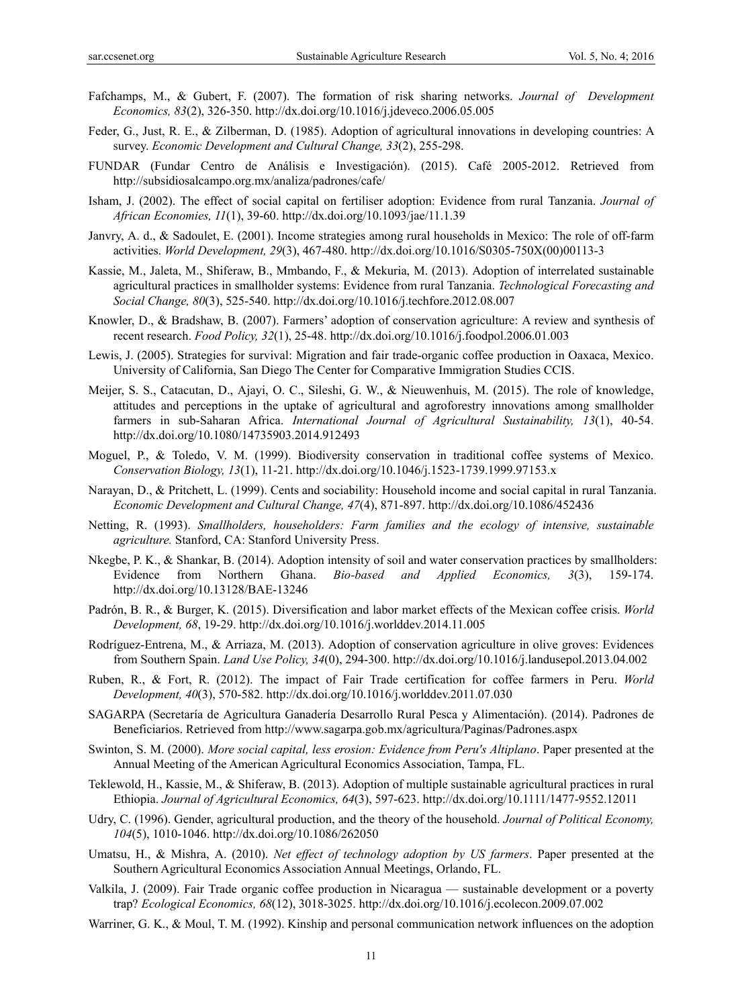- Fafchamps, M., & Gubert, F. (2007). The formation of risk sharing networks. *Journal of Development Economics, 83*(2), 326-350. http://dx.doi.org/10.1016/j.jdeveco.2006.05.005
- Feder, G., Just, R. E., & Zilberman, D. (1985). Adoption of agricultural innovations in developing countries: A survey. *Economic Development and Cultural Change, 33*(2), 255-298.
- FUNDAR (Fundar Centro de Análisis e Investigación). (2015). Café 2005-2012. Retrieved from http://subsidiosalcampo.org.mx/analiza/padrones/cafe/
- Isham, J. (2002). The effect of social capital on fertiliser adoption: Evidence from rural Tanzania. *Journal of African Economies, 11*(1), 39-60. http://dx.doi.org/10.1093/jae/11.1.39
- Janvry, A. d., & Sadoulet, E. (2001). Income strategies among rural households in Mexico: The role of off-farm activities. *World Development, 29*(3), 467-480. http://dx.doi.org/10.1016/S0305-750X(00)00113-3
- Kassie, M., Jaleta, M., Shiferaw, B., Mmbando, F., & Mekuria, M. (2013). Adoption of interrelated sustainable agricultural practices in smallholder systems: Evidence from rural Tanzania. *Technological Forecasting and Social Change, 80*(3), 525-540. http://dx.doi.org/10.1016/j.techfore.2012.08.007
- Knowler, D., & Bradshaw, B. (2007). Farmers' adoption of conservation agriculture: A review and synthesis of recent research. *Food Policy, 32*(1), 25-48. http://dx.doi.org/10.1016/j.foodpol.2006.01.003
- Lewis, J. (2005). Strategies for survival: Migration and fair trade-organic coffee production in Oaxaca, Mexico. University of California, San Diego The Center for Comparative Immigration Studies CCIS.
- Meijer, S. S., Catacutan, D., Ajayi, O. C., Sileshi, G. W., & Nieuwenhuis, M. (2015). The role of knowledge, attitudes and perceptions in the uptake of agricultural and agroforestry innovations among smallholder farmers in sub-Saharan Africa. *International Journal of Agricultural Sustainability, 13*(1), 40-54. http://dx.doi.org/10.1080/14735903.2014.912493
- Moguel, P., & Toledo, V. M. (1999). Biodiversity conservation in traditional coffee systems of Mexico. *Conservation Biology, 13*(1), 11-21. http://dx.doi.org/10.1046/j.1523-1739.1999.97153.x
- Narayan, D., & Pritchett, L. (1999). Cents and sociability: Household income and social capital in rural Tanzania. *Economic Development and Cultural Change, 47*(4), 871-897. http://dx.doi.org/10.1086/452436
- Netting, R. (1993). *Smallholders, householders: Farm families and the ecology of intensive, sustainable agriculture.* Stanford, CA: Stanford University Press.
- Nkegbe, P. K., & Shankar, B. (2014). Adoption intensity of soil and water conservation practices by smallholders: Evidence from Northern Ghana. *Bio-based and Applied Economics, 3*(3), 159-174. http://dx.doi.org/10.13128/BAE-13246
- Padrón, B. R., & Burger, K. (2015). Diversification and labor market effects of the Mexican coffee crisis. *World Development, 68*, 19-29. http://dx.doi.org/10.1016/j.worlddev.2014.11.005
- Rodríguez-Entrena, M., & Arriaza, M. (2013). Adoption of conservation agriculture in olive groves: Evidences from Southern Spain. *Land Use Policy, 34*(0), 294-300. http://dx.doi.org/10.1016/j.landusepol.2013.04.002
- Ruben, R., & Fort, R. (2012). The impact of Fair Trade certification for coffee farmers in Peru. *World Development, 40*(3), 570-582. http://dx.doi.org/10.1016/j.worlddev.2011.07.030
- SAGARPA (Secretaría de Agricultura Ganadería Desarrollo Rural Pesca y Alimentación). (2014). Padrones de Beneficiarios. Retrieved from http://www.sagarpa.gob.mx/agricultura/Paginas/Padrones.aspx
- Swinton, S. M. (2000). *More social capital, less erosion: Evidence from Peru's Altiplano*. Paper presented at the Annual Meeting of the American Agricultural Economics Association, Tampa, FL.
- Teklewold, H., Kassie, M., & Shiferaw, B. (2013). Adoption of multiple sustainable agricultural practices in rural Ethiopia. *Journal of Agricultural Economics, 64*(3), 597-623. http://dx.doi.org/10.1111/1477-9552.12011
- Udry, C. (1996). Gender, agricultural production, and the theory of the household. *Journal of Political Economy, 104*(5), 1010-1046. http://dx.doi.org/10.1086/262050
- Umatsu, H., & Mishra, A. (2010). *Net effect of technology adoption by US farmers*. Paper presented at the Southern Agricultural Economics Association Annual Meetings, Orlando, FL.
- Valkila, J. (2009). Fair Trade organic coffee production in Nicaragua sustainable development or a poverty trap? *Ecological Economics, 68*(12), 3018-3025. http://dx.doi.org/10.1016/j.ecolecon.2009.07.002
- Warriner, G. K., & Moul, T. M. (1992). Kinship and personal communication network influences on the adoption